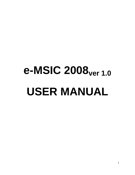# **e-MSIC 2008ver 1.0 USER MANUAL**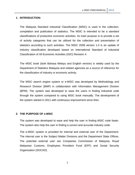### **1. INTRODUCTION:**

The Malaysia Standard Industrial Classification (MSIC) is used in the collection, compilation and publication of statistics. The MSIC is intended to be a standard classifications of productive economic activities. Its main purpose is to provide a set of activity categories that can be utilized for the collection and presentation of statistics according to such activities. The MSIC 2008 version 1.0 is an update of industry classification developed based on International Standard of Industrial Classification of All Economic Activities (ISIC) Revision 4*.*

The MSIC book (both Bahasa Melayu and English version) is widely used by the Department of Statistics Malaysia and related agencies as a source of reference for the classification of industry or economic activity.

The MSIC search engine system or e-MISC was developed by Methodology and Research Division (BMP) in collaboration with Information Management Division (BPM). The system was developed to ease the users in finding industrial code through the system compared to using MSIC book manually. The development of the system started in 2011 with continuous improvement since then.

### **2. THE PURPOSE OF e-MSIC**

The system was developed to ease and help the user in finding MSIC code faster. The system also help the user in finding a correct and accurate industry code.

The e-MSIC system is provided for internal and external user of the Department. The internal user is the Subject Matter Divisions and the Department State Offices. The potential external user are Companies Commission of Malaysia, Royal Malaysian Customs, Employees Provident Fund (EPF) and Sosial Security Organization (SOCSO).

2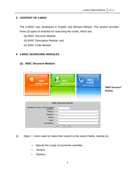# **3. CONTENT OF e-MSIC**

The e-MSIC was developed in English and Bahasa Melayu. The system provides three (3) types of modules for searching the codes, which are:

- (a) MSIC Structure Module;
- (b) MSIC Description Module; and
- (c) MSIC Code Module.

### **4. e-MISC SEARCHING MODULES**

# **(a) MSIC Structure Module:**

| <b>MSIC</b><br><b>STRUCTURE</b><br><b>MSIC Structure Details</b> | <b>MSIC</b><br><b>DESCRIPTION</b><br><b>MSIC Description Details</b> | <b>MSIC<br/>CODE</b><br><b>MSIC Code Details</b> | "MSIC Structure"<br><b>Module</b> |
|------------------------------------------------------------------|----------------------------------------------------------------------|--------------------------------------------------|-----------------------------------|
|                                                                  | <b>MSIC Structure Search</b>                                         |                                                  |                                   |
|                                                                  |                                                                      |                                                  |                                   |
|                                                                  | $\checkmark$                                                         |                                                  |                                   |
| Specify the scope of your economic $\overline{\text{Select}}$    |                                                                      |                                                  | $\checkmark$                      |
| Section : Select                                                 |                                                                      |                                                  | ◡                                 |
| Division : Select                                                |                                                                      |                                                  | $\checkmark$                      |
| Group : Select                                                   |                                                                      |                                                  |                                   |
| Class : Select<br><b>Description: Select</b>                     |                                                                      |                                                  | $\checkmark$<br>$\check{~}$       |

(i) Step 1 : Users need to make their search in the search fields, namely by:

- Specify the scope of economic activities
- **Section**
- Division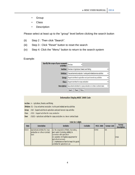- Group
- **Class**
- **Description**

Please select at least up to the "group" level before clicking the search button

- (ii) Step 2 : Then click "Search".
- (iii) Step 3 : Click "Reset" button to reset the search
- (iv) Step 4: Click the "Menu" button to return to the search system

## Example:

| Specify the scope of your economic Services<br>activities : |                                                                                             |              |
|-------------------------------------------------------------|---------------------------------------------------------------------------------------------|--------------|
|                                                             | Section: Services in Agriculture, forestry and fishing                                      | $\checkmark$ |
|                                                             | Division : Crop and animal production, hunting and related service activities               | v            |
|                                                             | Group: Support activities to agriculture and post-harvest crop activities                   | v            |
|                                                             | Class: Support activities for crops production                                              | v            |
|                                                             | <b>Description:</b> Agricultural activities for crops production on a fee or contract basis | v            |
|                                                             | Menu<br>Search<br>Reset                                                                     |              |

### **Information Display MSIC 2008 Code**

Section : A - Agriculture, forestry and fishing

Division : 01 - Crop and animal production, hunting and related service activities

Group : 016 - Support activities to agriculture and post-harvest crop activities

- Class : 0161 Support activities for crops production
- Item : 01610 Agricultural activities for crops production on a fee or contract basis

|  | <b>Table for 5 digits</b> |  |  |
|--|---------------------------|--|--|

| <b>Item</b> | <b>Description</b>                                                            | <b>Includes</b>                                                                                                                                                                                                                                                         | <b>Excludes</b> | <b>MSIC 2000</b> | <b>Survey Code</b> | <b>Survey</b><br><b>Description</b> |
|-------------|-------------------------------------------------------------------------------|-------------------------------------------------------------------------------------------------------------------------------------------------------------------------------------------------------------------------------------------------------------------------|-----------------|------------------|--------------------|-------------------------------------|
| 01610       | Agricultural activities for crops<br>production on a fee or contract<br>basis | (a) the preparation of fields, harvesting,<br>pest control (including rabbits) in<br>connection with agriculture<br>(b) operation of irrigation equipment for<br>agricultural purposes<br>(c) maintenance of land to keep it in goods<br>condotion for agricultural use |                 | 01400            | 101                | <b>Crops</b>                        |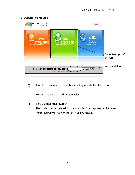# **(b) Descriptive Module :**



(i) Step 1 : Users need to search according to activities description

Example: type the word "motorcycles"

(ii) Step 2 : Then click "Search"

The code that is related to "motorcycles" will appear and the word "motorcycles" will be highlighted in yellow colour.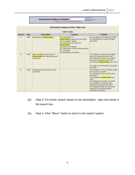**Search by description of activities :** 

Please enter a word to be searched. Example: vapor

Search | Menu

|                |      |                                                                                     | <b>Information Display for MSIC 2008 Code</b><br><b>Table 4 digits</b>                                                                                                                                                                                          |                                                                                                                                                                                                                                                                                                                                                                                              |
|----------------|------|-------------------------------------------------------------------------------------|-----------------------------------------------------------------------------------------------------------------------------------------------------------------------------------------------------------------------------------------------------------------|----------------------------------------------------------------------------------------------------------------------------------------------------------------------------------------------------------------------------------------------------------------------------------------------------------------------------------------------------------------------------------------------|
| <b>Section</b> | Item | <b>Description</b>                                                                  | <b>Includes</b>                                                                                                                                                                                                                                                 | <b>Excludes</b>                                                                                                                                                                                                                                                                                                                                                                              |
| C              | 3091 | Manufacture of <b>motorcycles</b>                                                   | (a) manufacture of<br>motorcycles, mopeds and cycle fitted<br>with an auxiliary engine<br>(b) manufacture of engines for<br>motorcycles<br>manufacture of sidecars<br>(d) manufacture of parts and accessories<br>for motocycles<br>(e) manufacture of scooters | (a) manufacture of bicycles see 30920<br>(b) manufacture of invalid carriages<br>see 30920'                                                                                                                                                                                                                                                                                                  |
| G              | 4540 | Sale, maintenance and repair of<br>motorcycles and related parts and<br>accessories |                                                                                                                                                                                                                                                                 | (a) wholesale of bicycles and related<br>parts and accessories, see 46441<br>(b) retail sale of bicycles and related<br>parts and accessories, see 47635<br>(c) renting of <b>motorcycles</b> , see 77302<br>(d) repair and maintenance of bicycles,<br>see 95291                                                                                                                            |
| G              | 4659 | Wholesale of other machinery and<br>equipment                                       |                                                                                                                                                                                                                                                                 | (a) wholesale of motor vehicles, trailers<br>and caravans, see 4510<br>(b) wholesale of motor vehicle parts,<br>see 45300<br>(c) wholesale of <b>motorcycles</b> , see<br>4540<br>(d) wholesale of bicycles, see 46431<br>(e) wholesale of computers and<br>peripheral equipment, see 46510<br>(f) wholesale of electronic parts and<br>telephone and communications<br>equipment, see 46521 |

- (iii) Step 3: For further search based on the description, type new words in the search box
- (iv) Step 4: Click "Menu" button to return to the search system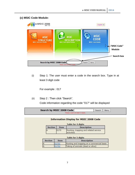# **(c) MSIC Code Module:**

| e-MSIC 2008                                                    |                                                                      | English v                                              |                                       |
|----------------------------------------------------------------|----------------------------------------------------------------------|--------------------------------------------------------|---------------------------------------|
| ğ<br><b>MSIC</b><br><b>STRUCTURE</b><br>MSIC Structure Details | <b>MSIC</b><br><b>DESCRIPTION</b><br><b>MSIC Description Details</b> | <b>MSIC</b><br><b>CODE</b><br><b>MSIC Code Details</b> | <b>← "MSIC Code"</b><br><b>Module</b> |
|                                                                |                                                                      |                                                        | <b>Search box</b>                     |
| Search by MSIC 2008 Code                                       | Please insert at least 3 digits.                                     | Menu<br>Search                                         |                                       |

(i) Step 1: The user must enter a code in the search box. Type in at least 3 digit code

For example : 017

(ii) Step 2 : Then click "Search".

Code information regarding the code "017" will be displayed

| Search by MSIC 2008 Code         | Search | Menu |
|----------------------------------|--------|------|
| Please insert at least 3 digits. |        |      |

|                |             | <b>Table for 4 digits</b>                           |
|----------------|-------------|-----------------------------------------------------|
| <b>Section</b> | Item        | <b>Description</b>                                  |
|                | 0170        | Hunting, trapping and related service<br>activities |
|                |             | <b>Table for 5 digits</b>                           |
|                |             |                                                     |
| <b>Section</b> | <b>Item</b> | <b>Description</b>                                  |
|                | 01701       | Hunting and trapping on a commercial basis          |